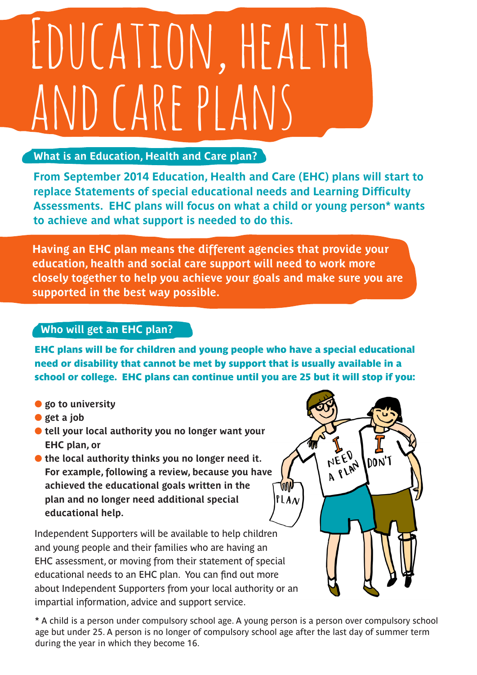## EDUCATION, HEALTH VD CARE PLANS

## **What is an Education, Health and Care plan?**

**From September 2014 Education, Health and Care (EHC) plans will start to replace Statements of special educational needs and Learning Difficulty Assessments. EHC plans will focus on what a child or young person\* wants to achieve and what support is needed to do this.**

**Having an EHC plan means the different agencies that provide your education, health and social care support will need to work more closely together to help you achieve your goals and make sure you are supported in the best way possible.** 

## **Who will get an EHC plan?**

EHC plans will be for children and young people who have a special educational need or disability that cannot be met by support that is usually available in a school or college. EHC plans can continue until you are 25 but it will stop if you:

- **l** go to university
- **l** get a job
- **In tell your local authority you no longer want your EHC plan, or**
- **If** the local authority thinks you no longer need it. **For example, following a review, because you have achieved the educational goals written in the plan and no longer need additional special educational help.**

Independent Supporters will be available to help children and young people and their families who are having an EHC assessment, or moving from their statement of special educational needs to an EHC plan. You can find out more about Independent Supporters from your local authority or an impartial information, advice and support service.

**\*** A child is a person under compulsory school age. A young person is a person over compulsory school age but under 25. A person is no longer of compulsory school age after the last day of summer term during the year in which they become 16.